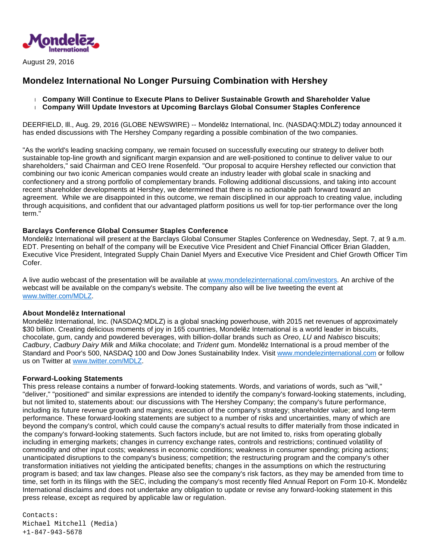

August 29, 2016

## **Mondelez International No Longer Pursuing Combination with Hershey**

 **Company Will Continue to Execute Plans to Deliver Sustainable Growth and Shareholder Value Company Will Update Investors at Upcoming Barclays Global Consumer Staples Conference**

DEERFIELD, Ill., Aug. 29, 2016 (GLOBE NEWSWIRE) -- Mondelēz International, Inc. (NASDAQ:MDLZ) today announced it has ended discussions with The Hershey Company regarding a possible combination of the two companies.

"As the world's leading snacking company, we remain focused on successfully executing our strategy to deliver both sustainable top-line growth and significant margin expansion and are well-positioned to continue to deliver value to our shareholders," said Chairman and CEO Irene Rosenfeld. "Our proposal to acquire Hershey reflected our conviction that combining our two iconic American companies would create an industry leader with global scale in snacking and confectionery and a strong portfolio of complementary brands. Following additional discussions, and taking into account recent shareholder developments at Hershey, we determined that there is no actionable path forward toward an agreement. While we are disappointed in this outcome, we remain disciplined in our approach to creating value, including through acquisitions, and confident that our advantaged platform positions us well for top-tier performance over the long term."

## **Barclays Conference Global Consumer Staples Conference**

Mondelēz International will present at the Barclays Global Consumer Staples Conference on Wednesday, Sept. 7, at 9 a.m. EDT. Presenting on behalf of the company will be Executive Vice President and Chief Financial Officer Brian Gladden, Executive Vice President, Integrated Supply Chain Daniel Myers and Executive Vice President and Chief Growth Officer Tim Cofer.

A live audio webcast of the presentation will be available at [www.mondelezinternational.com/investors.](https://www.globenewswire.com/Tracker?data=1TX2d9GAeH9Lb_qwlyFcAAu-vxg8twfyBjEh05gNsCYDf8gSmw9gPdeyM4YkYQEn1PbLX2B69fYj0n57wnrNlE714UK8Ez_FDyFolVTr-wEbDhPVc-JIoxXICWZlxTMWklrgTnA60hohJmT-CWk9dQ==) An archive of the webcast will be available on the company's website. The company also will be live tweeting the event at [www.twitter.com/MDLZ.](https://www.globenewswire.com/Tracker?data=vNRCVlsQpoM3YoG6V7NwWa1RLVAU9TEe_Ney-1kjXmaLwWMA-0Er_RlKdgn0ZQwklVEFNKFZDujuxLKWmZn3Di-85fgVbN4I7z1k5ifja2o=)

## **About Mondelēz International**

Mondelēz International, Inc. (NASDAQ:MDLZ) is a global snacking powerhouse, with 2015 net revenues of approximately \$30 billion. Creating delicious moments of joy in 165 countries, Mondelēz International is a world leader in biscuits, chocolate, gum, candy and powdered beverages, with billion-dollar brands such as Oreo, LU and Nabisco biscuits; Cadbury, Cadbury Dairy Milk and Milka chocolate; and Trident gum. Mondelēz International is a proud member of the Standard and Poor's 500, NASDAQ 100 and Dow Jones Sustainability Index. Visit [www.mondelezinternational.com](https://www.globenewswire.com/Tracker?data=1TX2d9GAeH9Lb_qwlyFcAAu-vxg8twfyBjEh05gNsCZnFhqWD4C8Q3BRPT9yEfyML94xCWvRwrMjj7ak54OQDDJjMNEWvOLCAAL6L3GIzLZooRVDUS0qUNqEc34c0CJg) or follow us on Twitter at [www.twitter.com/MDLZ.](https://www.globenewswire.com/Tracker?data=vNRCVlsQpoM3YoG6V7NwWadBObbtsGN0jIVjBA404NtZuHCtAy_CUweXBt5RkfjLN_EEBNkuyfkXmyy4FdhtF357j_gD2EPga4KwChEvwpI=)

## **Forward-Looking Statements**

This press release contains a number of forward-looking statements. Words, and variations of words, such as "will," "deliver," "positioned" and similar expressions are intended to identify the company's forward-looking statements, including, but not limited to, statements about: our discussions with The Hershey Company; the company's future performance, including its future revenue growth and margins; execution of the company's strategy; shareholder value; and long-term performance. These forward-looking statements are subject to a number of risks and uncertainties, many of which are beyond the company's control, which could cause the company's actual results to differ materially from those indicated in the company's forward-looking statements. Such factors include, but are not limited to, risks from operating globally including in emerging markets; changes in currency exchange rates, controls and restrictions; continued volatility of commodity and other input costs; weakness in economic conditions; weakness in consumer spending; pricing actions; unanticipated disruptions to the company's business; competition; the restructuring program and the company's other transformation initiatives not yielding the anticipated benefits; changes in the assumptions on which the restructuring program is based; and tax law changes. Please also see the company's risk factors, as they may be amended from time to time, set forth in its filings with the SEC, including the company's most recently filed Annual Report on Form 10-K. Mondelēz International disclaims and does not undertake any obligation to update or revise any forward-looking statement in this press release, except as required by applicable law or regulation.

Contacts: Michael Mitchell (Media) +1-847-943-5678